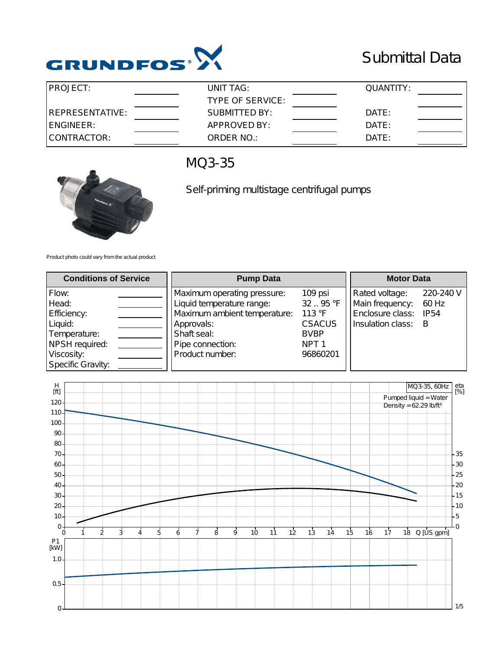

## Submittal Data

| IPROJECT:        | UNIT TAG:            | QUANTITY: |  |
|------------------|----------------------|-----------|--|
|                  | TYPE OF SERVICE:     |           |  |
| IREPRESENTATIVE: | <b>SUBMITTED BY:</b> | DATE:     |  |
| ENGINEER:        | APPROVED BY:         | DATE:     |  |
| CONTRACTOR:      | ORDER NO.:           | DATE:     |  |



## MQ3-35

Self-priming multistage centrifugal pumps

Product photo could vary from the actual product

| <b>Conditions of Service</b>                                                                                  | <b>Pump Data</b>                                                                                                                                             |                                                                                               | <b>Motor Data</b>                                                          |                                             |
|---------------------------------------------------------------------------------------------------------------|--------------------------------------------------------------------------------------------------------------------------------------------------------------|-----------------------------------------------------------------------------------------------|----------------------------------------------------------------------------|---------------------------------------------|
| Flow:<br>Head:<br>Efficiency:<br>Liquid:<br>Temperature:<br>NPSH required:<br>Viscosity:<br>Specific Gravity: | Maximum operating pressure:<br>Liquid temperature range:<br>Maximum ambient temperature:<br>Approvals:<br>Shaft seal:<br>Pipe connection:<br>Product number: | 109 psi<br>32.95 °F<br>113 °F<br><b>CSACUS</b><br><b>BVBP</b><br>NPT <sub>1</sub><br>96860201 | Rated voltage:<br>Main frequency:<br>Enclosure class:<br>Insulation class: | 220-240 V<br>60 Hz<br>IP <sub>54</sub><br>В |

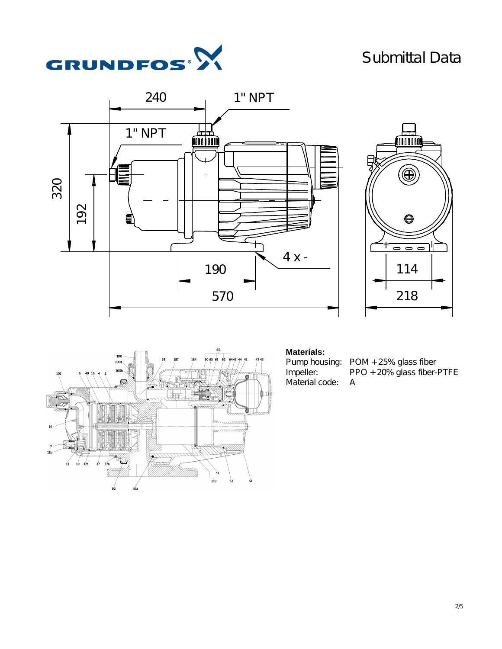## Submittal Data









## **Materials:**

Material code:

Pump housing: POM + 25% glass fiber<br>Impeller: PPO + 20% glass fiber-PPO + 20% glass fiber-PTFE<br>A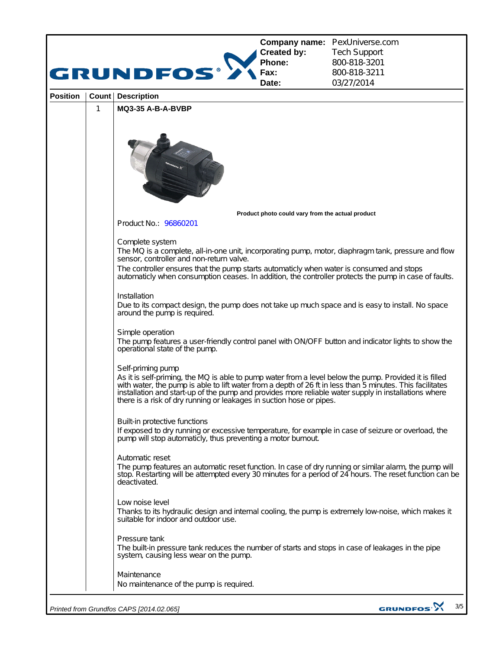|                 |                                                                                                                                                                                                                                                                                                                                                                                                                        | GRUNDFOS                                                                                                                                                                                                                                                                                                                                                                                                                                                                                                                                                                                                                         | <b>Created by:</b><br>Phone:<br>Fax:<br>Date:    | <b>Company name: PexUniverse.com</b><br><b>Tech Support</b><br>800-818-3201<br>800-818-3211<br>03/27/2014 |  |  |
|-----------------|------------------------------------------------------------------------------------------------------------------------------------------------------------------------------------------------------------------------------------------------------------------------------------------------------------------------------------------------------------------------------------------------------------------------|----------------------------------------------------------------------------------------------------------------------------------------------------------------------------------------------------------------------------------------------------------------------------------------------------------------------------------------------------------------------------------------------------------------------------------------------------------------------------------------------------------------------------------------------------------------------------------------------------------------------------------|--------------------------------------------------|-----------------------------------------------------------------------------------------------------------|--|--|
| <b>Position</b> | Count                                                                                                                                                                                                                                                                                                                                                                                                                  | <b>Description</b>                                                                                                                                                                                                                                                                                                                                                                                                                                                                                                                                                                                                               |                                                  |                                                                                                           |  |  |
|                 | 1                                                                                                                                                                                                                                                                                                                                                                                                                      | <b>MQ3-35 A-B-A-BVBP</b>                                                                                                                                                                                                                                                                                                                                                                                                                                                                                                                                                                                                         |                                                  |                                                                                                           |  |  |
|                 |                                                                                                                                                                                                                                                                                                                                                                                                                        |                                                                                                                                                                                                                                                                                                                                                                                                                                                                                                                                                                                                                                  |                                                  |                                                                                                           |  |  |
|                 |                                                                                                                                                                                                                                                                                                                                                                                                                        |                                                                                                                                                                                                                                                                                                                                                                                                                                                                                                                                                                                                                                  | Product photo could vary from the actual product |                                                                                                           |  |  |
|                 |                                                                                                                                                                                                                                                                                                                                                                                                                        | Product No.: 96860201                                                                                                                                                                                                                                                                                                                                                                                                                                                                                                                                                                                                            |                                                  |                                                                                                           |  |  |
|                 | Complete system<br>The MQ is a complete, all-in-one unit, incorporating pump, motor, diaphragm tank, pressure and flow<br>sensor, controller and non-return valve.                                                                                                                                                                                                                                                     |                                                                                                                                                                                                                                                                                                                                                                                                                                                                                                                                                                                                                                  |                                                  |                                                                                                           |  |  |
|                 |                                                                                                                                                                                                                                                                                                                                                                                                                        | The controller ensures that the pump starts automaticly when water is consumed and stops<br>automaticly when consumption ceases. In addition, the controller protects the pump in case of faults.                                                                                                                                                                                                                                                                                                                                                                                                                                |                                                  |                                                                                                           |  |  |
|                 |                                                                                                                                                                                                                                                                                                                                                                                                                        | Installation<br>Due to its compact design, the pump does not take up much space and is easy to install. No space<br>around the pump is required.                                                                                                                                                                                                                                                                                                                                                                                                                                                                                 |                                                  |                                                                                                           |  |  |
|                 |                                                                                                                                                                                                                                                                                                                                                                                                                        | Simple operation<br>The pump features a user-friendly control panel with ON/OFF button and indicator lights to show the<br>operational state of the pump.                                                                                                                                                                                                                                                                                                                                                                                                                                                                        |                                                  |                                                                                                           |  |  |
|                 |                                                                                                                                                                                                                                                                                                                                                                                                                        | Self-priming pump<br>As it is self-priming, the MQ is able to pump water from a level below the pump. Provided it is filled<br>with water, the pump is able to lift water from a depth of 26 ft in less than 5 minutes. This facilitates<br>installation and start-up of the pump and provides more reliable water supply in installations where<br>there is a risk of dry running or leakages in suction hose or pipes.<br>Built-in protective functions<br>If exposed to dry running or excessive temperature, for example in case of seizure or overload, the<br>pump will stop automaticly, thus preventing a motor burnout. |                                                  |                                                                                                           |  |  |
|                 |                                                                                                                                                                                                                                                                                                                                                                                                                        |                                                                                                                                                                                                                                                                                                                                                                                                                                                                                                                                                                                                                                  |                                                  |                                                                                                           |  |  |
|                 | Automatic reset<br>The pump features an automatic reset function. In case of dry running or similar alarm, the pump will<br>stop. Restarting will be attempted every 30 minutes for a period of 24 hours. The reset function can be<br>deactivated.<br>Low noise level<br>Thanks to its hydraulic design and internal cooling, the pump is extremely low-noise, which makes it<br>suitable for indoor and outdoor use. |                                                                                                                                                                                                                                                                                                                                                                                                                                                                                                                                                                                                                                  |                                                  |                                                                                                           |  |  |
|                 |                                                                                                                                                                                                                                                                                                                                                                                                                        |                                                                                                                                                                                                                                                                                                                                                                                                                                                                                                                                                                                                                                  |                                                  |                                                                                                           |  |  |
|                 |                                                                                                                                                                                                                                                                                                                                                                                                                        | Pressure tank<br>The built-in pressure tank reduces the number of starts and stops in case of leakages in the pipe<br>system, causing less wear on the pump.                                                                                                                                                                                                                                                                                                                                                                                                                                                                     |                                                  |                                                                                                           |  |  |
|                 | Maintenance<br>No maintenance of the pump is required.                                                                                                                                                                                                                                                                                                                                                                 |                                                                                                                                                                                                                                                                                                                                                                                                                                                                                                                                                                                                                                  |                                                  |                                                                                                           |  |  |
|                 |                                                                                                                                                                                                                                                                                                                                                                                                                        | Printed from Grundfos CAPS [2014.02.065]                                                                                                                                                                                                                                                                                                                                                                                                                                                                                                                                                                                         |                                                  | GRUNDFOS <sup>.</sup><br>3/5                                                                              |  |  |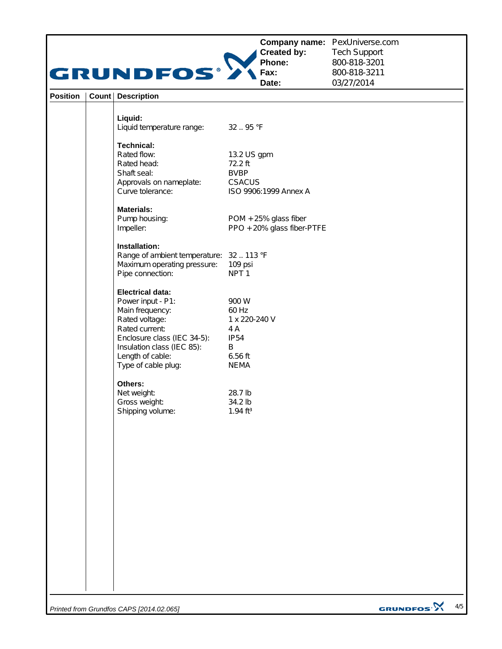|                 | GRUNDFOS®                                                                                                                                                                                                   | <b>Created by:</b><br>Phone:<br>Fax:<br>Date:                                        | Company name: PexUniverse.com<br><b>Tech Support</b><br>800-818-3201<br>800-818-3211<br>03/27/2014 |
|-----------------|-------------------------------------------------------------------------------------------------------------------------------------------------------------------------------------------------------------|--------------------------------------------------------------------------------------|----------------------------------------------------------------------------------------------------|
| <b>Position</b> | <b>Count   Description</b>                                                                                                                                                                                  |                                                                                      |                                                                                                    |
|                 | Liquid:<br>Liquid temperature range:                                                                                                                                                                        | 32.95 °F                                                                             |                                                                                                    |
|                 | <b>Technical:</b><br>Rated flow:<br>Rated head:<br>Shaft seal:<br>Approvals on nameplate:<br>Curve tolerance:                                                                                               | 13.2 US gpm<br>72.2 ft<br><b>BVBP</b><br><b>CSACUS</b><br>ISO 9906:1999 Annex A      |                                                                                                    |
|                 | <b>Materials:</b><br>Pump housing:<br>Impeller:                                                                                                                                                             | POM + 25% glass fiber<br>PPO + 20% glass fiber-PTFE                                  |                                                                                                    |
|                 | Installation:<br>Range of ambient temperature: 32  113 °F<br>Maximum operating pressure:<br>Pipe connection:                                                                                                | 109 psi<br>NPT <sub>1</sub>                                                          |                                                                                                    |
|                 | <b>Electrical data:</b><br>Power input - P1:<br>Main frequency:<br>Rated voltage:<br>Rated current:<br>Enclosure class (IEC 34-5):<br>Insulation class (IEC 85):<br>Length of cable:<br>Type of cable plug: | 900 W<br>60 Hz<br>1 x 220-240 V<br>4 A<br><b>IP54</b><br>B<br>6.56 ft<br><b>NEMA</b> |                                                                                                    |
|                 | Others:<br>Net weight:<br>Gross weight:<br>Shipping volume:                                                                                                                                                 | 28.7 lb<br>34.2 lb<br>$1.94$ ft <sup>3</sup>                                         |                                                                                                    |
|                 |                                                                                                                                                                                                             |                                                                                      |                                                                                                    |
|                 |                                                                                                                                                                                                             |                                                                                      |                                                                                                    |
|                 |                                                                                                                                                                                                             |                                                                                      |                                                                                                    |
|                 |                                                                                                                                                                                                             |                                                                                      |                                                                                                    |